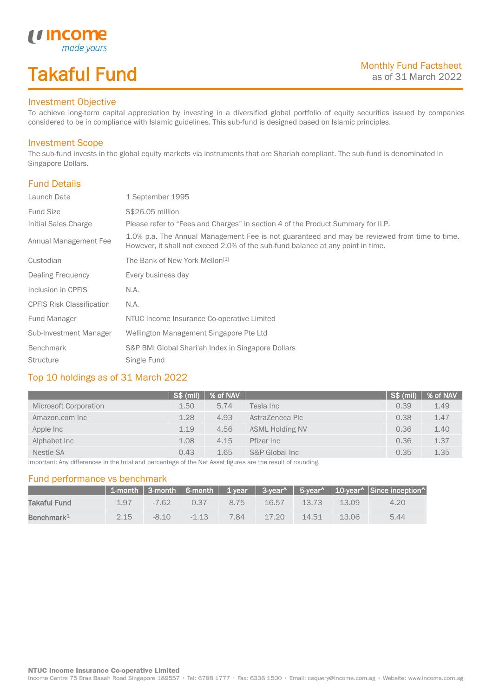# Takaful Fund

made yours

### Investment Objective

*u* Income

To achieve long-term capital appreciation by investing in a diversified global portfolio of equity securities issued by companies considered to be in compliance with Islamic guidelines. This sub-fund is designed based on Islamic principles.

#### Investment Scope

The sub-fund invests in the global equity markets via instruments that are Shariah compliant. The sub-fund is denominated in Singapore Dollars.

### Fund Details

I

| Launch Date                      | 1 September 1995                                                                                                                                                                |
|----------------------------------|---------------------------------------------------------------------------------------------------------------------------------------------------------------------------------|
| <b>Fund Size</b>                 | S\$26.05 million                                                                                                                                                                |
| Initial Sales Charge             | Please refer to "Fees and Charges" in section 4 of the Product Summary for ILP.                                                                                                 |
| Annual Management Fee            | 1.0% p.a. The Annual Management Fee is not guaranteed and may be reviewed from time to time.<br>However, it shall not exceed 2.0% of the sub-fund balance at any point in time. |
| Custodian                        | The Bank of New York Mellon <sup>[1]</sup>                                                                                                                                      |
| Dealing Frequency                | Every business day                                                                                                                                                              |
| Inclusion in CPFIS               | N.A.                                                                                                                                                                            |
| <b>CPFIS Risk Classification</b> | N.A.                                                                                                                                                                            |
| Fund Manager                     | NTUC Income Insurance Co-operative Limited                                                                                                                                      |
| Sub-Investment Manager           | Wellington Management Singapore Pte Ltd                                                                                                                                         |
| <b>Benchmark</b>                 | S&P BMI Global Shari'ah Index in Singapore Dollars                                                                                                                              |
| <b>Structure</b>                 | Single Fund                                                                                                                                                                     |

### Top 10 holdings as of 31 March 2022

|                       | $\sqrt{S\$ (mil) | % of NAV |                        | S\$ (mil) | % of NAV |
|-----------------------|------------------|----------|------------------------|-----------|----------|
| Microsoft Corporation | 1.50             | 5.74     | Tesla Inc              | 0.39      | 1.49     |
| Amazon.com Inc        | 1.28             | 4.93     | AstraZeneca Plc        | 0.38      | 1.47     |
| Apple Inc             | 1.19             | 4.56     | <b>ASML Holding NV</b> | 0.36      | 1.40     |
| Alphabet Inc          | 1.08             | 4.15     | Pfizer Inc             | 0.36      | 1.37     |
| Nestle SA             | 0.43             | 1.65     | S&P Global Inc         | 0.35      | 1.35     |

Important: Any differences in the total and percentage of the Net Asset figures are the result of rounding.

#### Fund performance vs benchmark

|                        |      |        |         |      |          |                 |       | 1-month   3-month   6-month   1-year   3-year^   5-year^   10-year^   Since inception^ |
|------------------------|------|--------|---------|------|----------|-----------------|-------|----------------------------------------------------------------------------------------|
| Takaful Fund           | 197  | -762   | 0.37    | 8.75 |          | $16.57$ $13.73$ | 13.09 | 4.20                                                                                   |
| Benchmark <sup>1</sup> | 2.15 | $-810$ | $-1.13$ | 784  | $-17.20$ | $-14.51$        | 13.06 | 5.44                                                                                   |

Income Centre 75 Bras Basah Road Singapore 189557 · Tel: 6788 1777 · Fax: 6338 1500 · Email: csquery@income.com.sg · Website: www.income.com.sg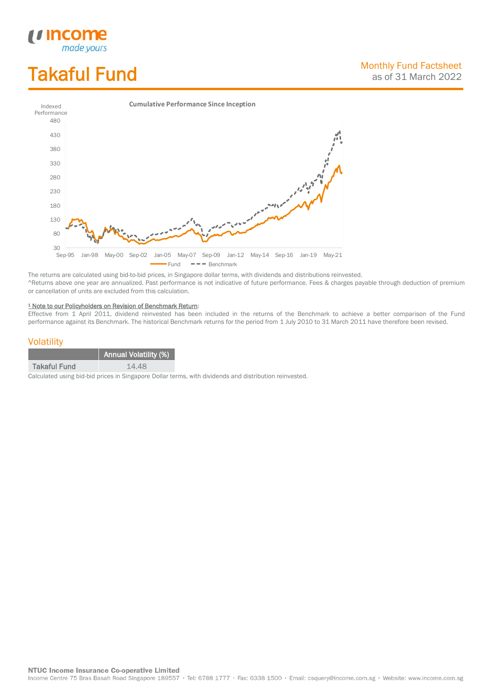# Takaful Fund

*<u>Income</u>*<br>made yours

I



The returns are calculated using bid-to-bid prices, in Singapore dollar terms, with dividends and distributions reinvested. ^Returns above one year are annualized. Past performance is not indicative of future performance. Fees & charges payable through deduction of premium or cancellation of units are excluded from this calculation.

#### <sup>1</sup> Note to our Policyholders on Revision of Benchmark Return:

Effective from 1 April 2011, dividend reinvested has been included in the returns of the Benchmark to achieve a better comparison of the Fund performance against its Benchmark. The historical Benchmark returns for the period from 1 July 2010 to 31 March 2011 have therefore been revised.

#### **Volatility**

|                     | <b>Annual Volatility (%)</b> |
|---------------------|------------------------------|
| <b>Takaful Fund</b> | 14.48                        |

Calculated using bid-bid prices in Singapore Dollar terms, with dividends and distribution reinvested.